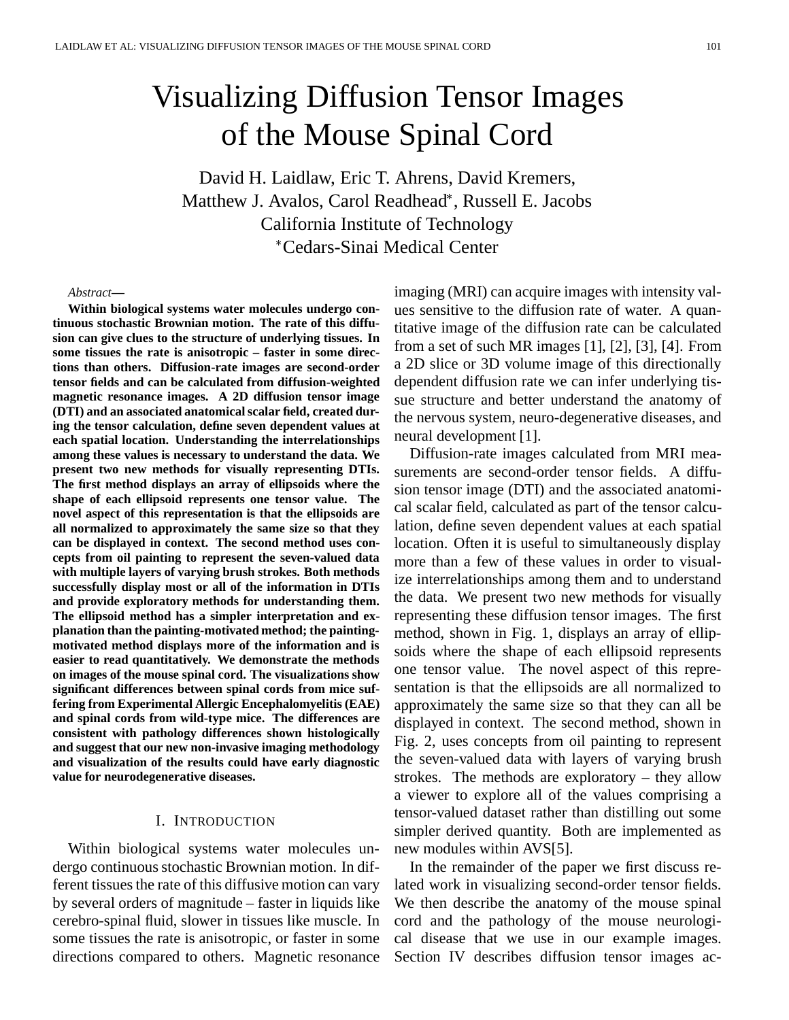# Visualizing Diffusion Tensor Images of the Mouse Spinal Cord

David H. Laidlaw, Eric T. Ahrens, David Kremers, Matthew J. Avalos, Carol Readhead , Russell E. Jacobs California Institute of Technology Cedars-Sinai Medical Center

#### *Abstract***—**

**Within biological systems water molecules undergo continuous stochastic Brownian motion. The rate of this diffusion can give clues to the structure of underlying tissues. In some tissues the rate is anisotropic – faster in some directions than others. Diffusion-rate images are second-order tensor fields and can be calculated from diffusion-weighted magnetic resonance images. A 2D diffusion tensor image (DTI) and an associated anatomical scalar field, created during the tensor calculation, define seven dependent values at each spatial location. Understanding the interrelationships among these values is necessary to understand the data. We present two new methods for visually representing DTIs. The first method displays an array of ellipsoids where the shape of each ellipsoid represents one tensor value. The novel aspect of this representation is that the ellipsoids are all normalized to approximately the same size so that they can be displayed in context. The second method uses concepts from oil painting to represent the seven-valued data with multiple layers of varying brush strokes. Both methods successfully display most or all of the information in DTIs and provide exploratory methods for understanding them. The ellipsoid method has a simpler interpretation and explanation than the painting-motivated method; the paintingmotivated method displays more of the information and is easier to read quantitatively. We demonstrate the methods on images of the mouse spinal cord. The visualizations show significant differences between spinal cords from mice suffering from Experimental Allergic Encephalomyelitis (EAE) and spinal cords from wild-type mice. The differences are consistent with pathology differences shown histologically and suggest that our new non-invasive imaging methodology and visualization of the results could have early diagnostic value for neurodegenerative diseases.**

## I. INTRODUCTION

Within biological systems water molecules undergo continuous stochastic Brownian motion. In different tissues the rate of this diffusive motion can vary by several orders of magnitude – faster in liquids like cerebro-spinal fluid, slower in tissues like muscle. In some tissues the rate is anisotropic, or faster in some directions compared to others. Magnetic resonance

imaging (MRI) can acquire images with intensity values sensitive to the diffusion rate of water. A quantitative image of the diffusion rate can be calculated from a set of such MR images [1], [2], [3], [4]. From a 2D slice or 3D volume image of this directionally dependent diffusion rate we can infer underlying tissue structure and better understand the anatomy of the nervous system, neuro-degenerative diseases, and neural development [1].

Diffusion-rate images calculated from MRI measurements are second-order tensor fields. A diffusion tensor image (DTI) and the associated anatomical scalar field, calculated as part of the tensor calculation, define seven dependent values at each spatial location. Often it is useful to simultaneously display more than a few of these values in order to visualize interrelationships among them and to understand the data. We present two new methods for visually representing these diffusion tensor images. The first method, shown in Fig. 1, displays an array of ellipsoids where the shape of each ellipsoid represents one tensor value. The novel aspect of this representation is that the ellipsoids are all normalized to approximately the same size so that they can all be displayed in context. The second method, shown in Fig. 2, uses concepts from oil painting to represent the seven-valued data with layers of varying brush strokes. The methods are exploratory – they allow a viewer to explore all of the values comprising a tensor-valued dataset rather than distilling out some simpler derived quantity. Both are implemented as new modules within AVS[5].

In the remainder of the paper we first discuss related work in visualizing second-order tensor fields. We then describe the anatomy of the mouse spinal cord and the pathology of the mouse neurological disease that we use in our example images. Section IV describes diffusion tensor images ac-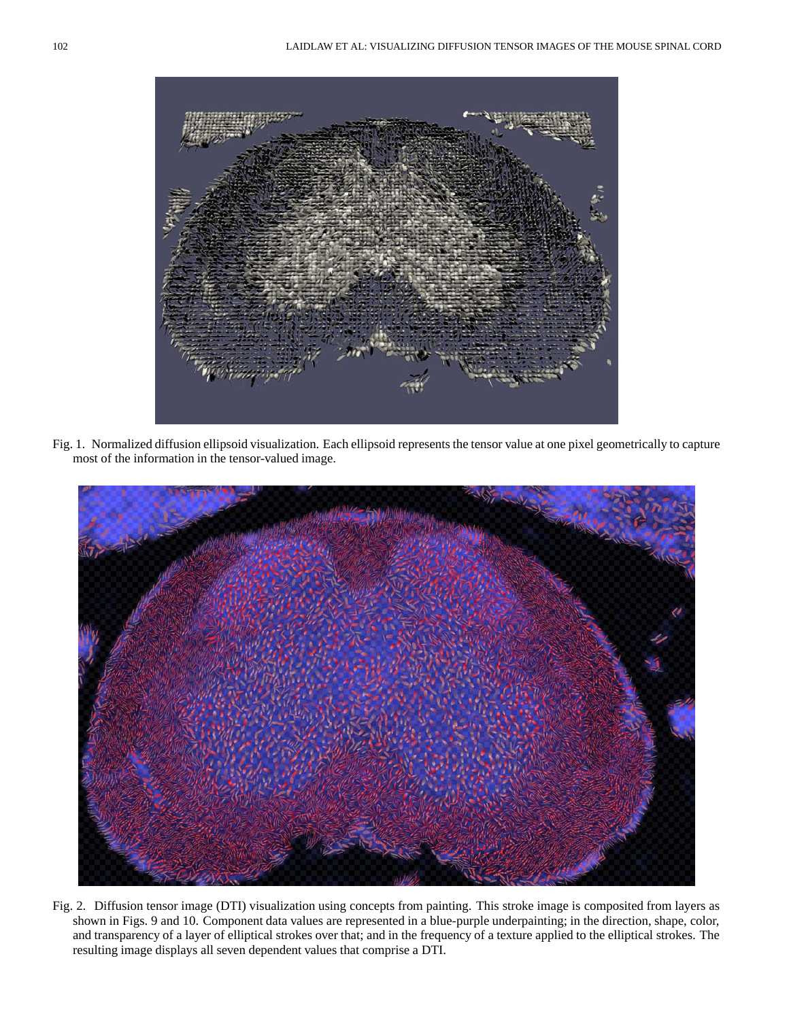

Fig. 1. Normalized diffusion ellipsoid visualization. Each ellipsoid represents the tensor value at one pixel geometrically to capture most of the information in the tensor-valued image.



Fig. 2. Diffusion tensor image (DTI) visualization using concepts from painting. This stroke image is composited from layers as shown in Figs. 9 and 10. Component data values are represented in a blue-purple underpainting; in the direction, shape, color, and transparency of a layer of elliptical strokes over that; and in the frequency of a texture applied to the elliptical strokes. The resulting image displays all seven dependent values that comprise a DTI.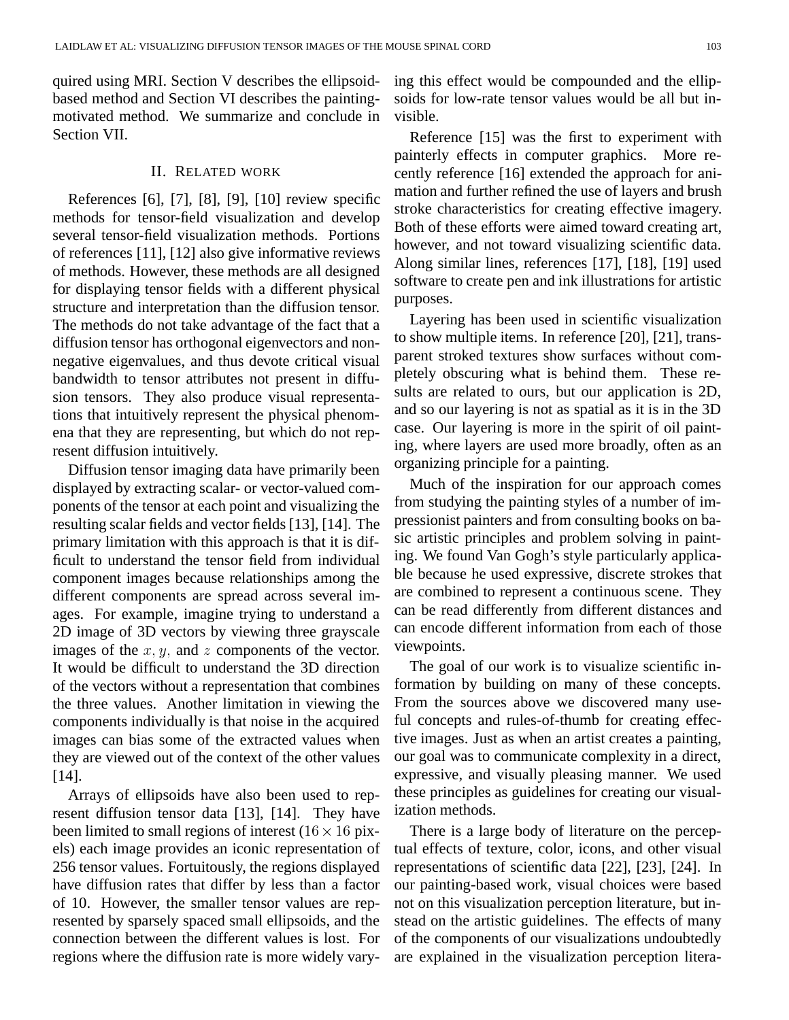quired using MRI. Section V describes the ellipsoidbased method and Section VI describes the paintingmotivated method. We summarize and conclude in Section VII.

## II. RELATED WORK

References [6], [7], [8], [9], [10] review specific methods for tensor-field visualization and develop several tensor-field visualization methods. Portions of references [11], [12] also give informative reviews of methods. However, these methods are all designed for displaying tensor fields with a different physical structure and interpretation than the diffusion tensor. The methods do not take advantage of the fact that a diffusion tensor has orthogonal eigenvectors and nonnegative eigenvalues, and thus devote critical visual bandwidth to tensor attributes not present in diffusion tensors. They also produce visual representations that intuitively represent the physical phenomena that they are representing, but which do not represent diffusion intuitively.

Diffusion tensor imaging data have primarily been displayed by extracting scalar- or vector-valued components of the tensor at each point and visualizing the resulting scalar fields and vector fields [13], [14]. The primary limitation with this approach is that it is difficult to understand the tensor field from individual component images because relationships among the different components are spread across several images. For example, imagine trying to understand a 2D image of 3D vectors by viewing three grayscale images of the  $x, y$ , and  $z$  components of the vector. It would be difficult to understand the 3D direction of the vectors without a representation that combines the three values. Another limitation in viewing the components individually is that noise in the acquired images can bias some of the extracted values when they are viewed out of the context of the other values [14].

Arrays of ellipsoids have also been used to represent diffusion tensor data [13], [14]. They have been limited to small regions of interest  $(16 \times 16)$  pixels) each image provides an iconic representation of 256 tensor values. Fortuitously, the regions displayed have diffusion rates that differ by less than a factor of 10. However, the smaller tensor values are represented by sparsely spaced small ellipsoids, and the connection between the different values is lost. For regions where the diffusion rate is more widely vary-

ing this effect would be compounded and the ellipsoids for low-rate tensor values would be all but invisible.

Reference [15] was the first to experiment with painterly effects in computer graphics. More recently reference [16] extended the approach for animation and further refined the use of layers and brush stroke characteristics for creating effective imagery. Both of these efforts were aimed toward creating art, however, and not toward visualizing scientific data. Along similar lines, references [17], [18], [19] used software to create pen and ink illustrations for artistic purposes.

Layering has been used in scientific visualization to show multiple items. In reference [20], [21], transparent stroked textures show surfaces without completely obscuring what is behind them. These results are related to ours, but our application is 2D, and so our layering is not as spatial as it is in the 3D case. Our layering is more in the spirit of oil painting, where layers are used more broadly, often as an organizing principle for a painting.

Much of the inspiration for our approach comes from studying the painting styles of a number of impressionist painters and from consulting books on basic artistic principles and problem solving in painting. We found Van Gogh's style particularly applicable because he used expressive, discrete strokes that are combined to represent a continuous scene. They can be read differently from different distances and can encode different information from each of those viewpoints.

The goal of our work is to visualize scientific information by building on many of these concepts. From the sources above we discovered many useful concepts and rules-of-thumb for creating effective images. Just as when an artist creates a painting, our goal was to communicate complexity in a direct, expressive, and visually pleasing manner. We used these principles as guidelines for creating our visualization methods.

There is a large body of literature on the perceptual effects of texture, color, icons, and other visual representations of scientific data [22], [23], [24]. In our painting-based work, visual choices were based not on this visualization perception literature, but instead on the artistic guidelines. The effects of many of the components of our visualizations undoubtedly are explained in the visualization perception litera-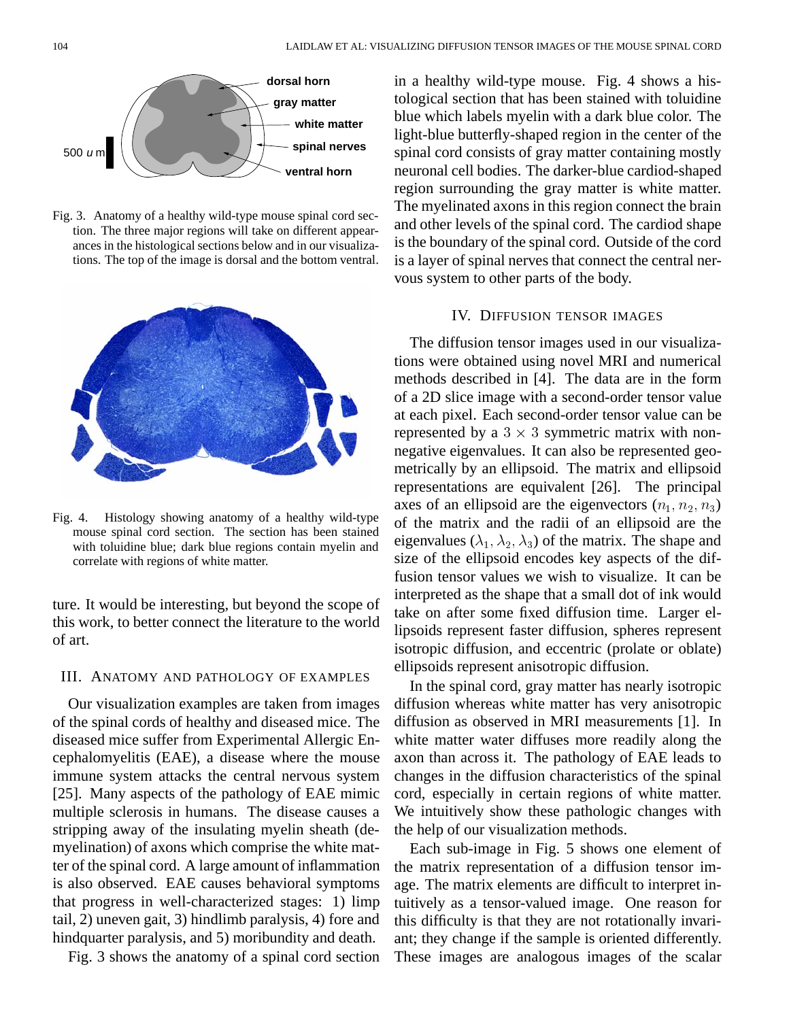

Fig. 3. Anatomy of a healthy wild-type mouse spinal cord section. The three major regions will take on different appearances in the histological sections below and in our visualizations. The top of the image is dorsal and the bottom ventral.



Fig. 4. Histology showing anatomy of a healthy wild-type mouse spinal cord section. The section has been stained with toluidine blue; dark blue regions contain myelin and correlate with regions of white matter.

ture. It would be interesting, but beyond the scope of this work, to better connect the literature to the world of art.

## III. ANATOMY AND PATHOLOGY OF EXAMPLES

Our visualization examples are taken from images of the spinal cords of healthy and diseased mice. The diseased mice suffer from Experimental Allergic Encephalomyelitis (EAE), a disease where the mouse immune system attacks the central nervous system [25]. Many aspects of the pathology of EAE mimic multiple sclerosis in humans. The disease causes a stripping away of the insulating myelin sheath (demyelination) of axons which comprise the white matter of the spinal cord. A large amount of inflammation is also observed. EAE causes behavioral symptoms that progress in well-characterized stages: 1) limp tail, 2) uneven gait, 3) hindlimb paralysis, 4) fore and hindquarter paralysis, and 5) moribundity and death.

Fig. 3 shows the anatomy of a spinal cord section

in a healthy wild-type mouse. Fig. 4 shows a histological section that has been stained with toluidine blue which labels myelin with a dark blue color. The light-blue butterfly-shaped region in the center of the spinal cord consists of gray matter containing mostly neuronal cell bodies. The darker-blue cardiod-shaped region surrounding the gray matter is white matter. The myelinated axons in this region connect the brain and other levels of the spinal cord. The cardiod shape is the boundary of the spinal cord. Outside of the cord is a layer of spinal nerves that connect the central nervous system to other parts of the body.

#### IV. DIFFUSION TENSOR IMAGES

The diffusion tensor images used in our visualizations were obtained using novel MRI and numerical methods described in [4]. The data are in the form of a 2D slice image with a second-order tensor value at each pixel. Each second-order tensor value can be represented by a  $3 \times 3$  symmetric matrix with nonnegative eigenvalues. It can also be represented geometrically by an ellipsoid. The matrix and ellipsoid representations are equivalent [26]. The principal axes of an ellipsoid are the eigenvectors  $(n_1, n_2, n_3)$ of the matrix and the radii of an ellipsoid are the eigenvalues ( $\lambda_1, \lambda_2, \lambda_3$ ) of the matrix. The shape and size of the ellipsoid encodes key aspects of the diffusion tensor values we wish to visualize. It can be interpreted as the shape that a small dot of ink would take on after some fixed diffusion time. Larger ellipsoids represent faster diffusion, spheres represent isotropic diffusion, and eccentric (prolate or oblate) ellipsoids represent anisotropic diffusion.

In the spinal cord, gray matter has nearly isotropic diffusion whereas white matter has very anisotropic diffusion as observed in MRI measurements [1]. In white matter water diffuses more readily along the axon than across it. The pathology of EAE leads to changes in the diffusion characteristics of the spinal cord, especially in certain regions of white matter. We intuitively show these pathologic changes with the help of our visualization methods.

Each sub-image in Fig. 5 shows one element of the matrix representation of a diffusion tensor image. The matrix elements are difficult to interpret intuitively as a tensor-valued image. One reason for this difficulty is that they are not rotationally invariant; they change if the sample is oriented differently. These images are analogous images of the scalar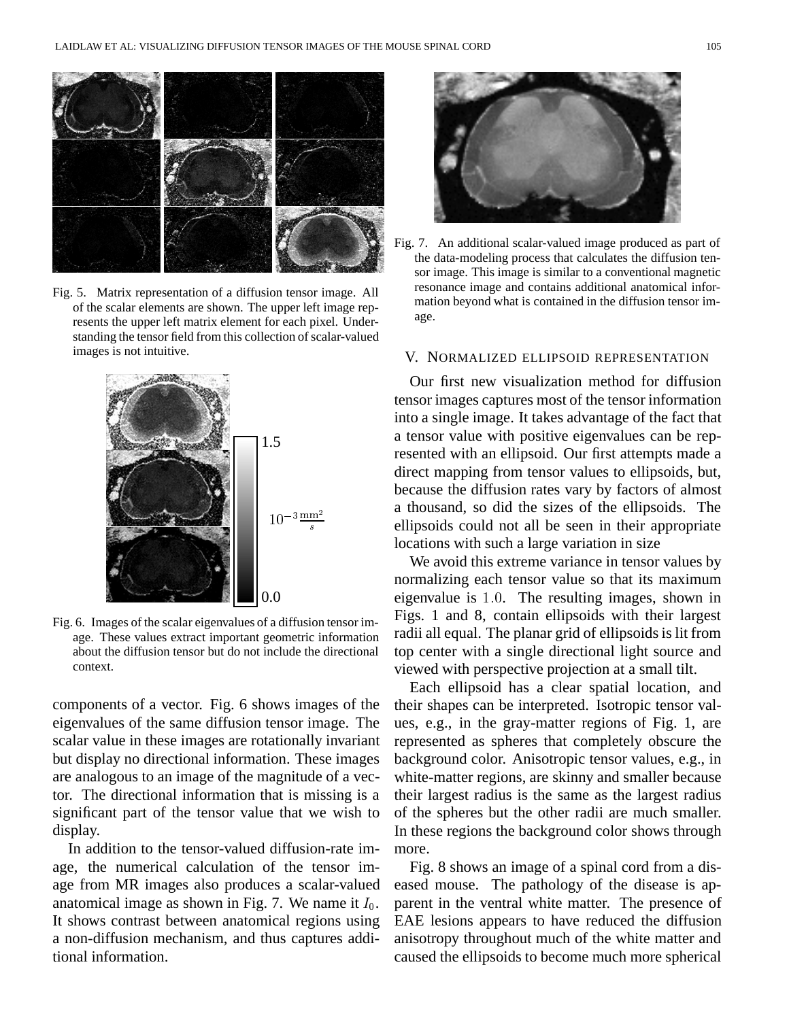

Fig. 5. Matrix representation of a diffusion tensor image. All of the scalar elements are shown. The upper left image represents the upper left matrix element for each pixel. Understanding the tensor field from this collection of scalar-valued images is not intuitive.



Fig. 6. Images of the scalar eigenvalues of a diffusion tensor image. These values extract important geometric information about the diffusion tensor but do not include the directional context.

components of a vector. Fig. 6 shows images of the eigenvalues of the same diffusion tensor image. The scalar value in these images are rotationally invariant but display no directional information. These images are analogous to an image of the magnitude of a vector. The directional information that is missing is a significant part of the tensor value that we wish to display.

In addition to the tensor-valued diffusion-rate image, the numerical calculation of the tensor image from MR images also produces a scalar-valued anatomical image as shown in Fig. 7. We name it  $I_0$ . It shows contrast between anatomical regions using a non-diffusion mechanism, and thus captures additional information.



Fig. 7. An additional scalar-valued image produced as part of the data-modeling process that calculates the diffusion tensor image. This image is similar to a conventional magnetic resonance image and contains additional anatomical information beyond what is contained in the diffusion tensor image.

## V. NORMALIZED ELLIPSOID REPRESENTATION

Our first new visualization method for diffusion tensor images captures most of the tensor information into a single image. It takes advantage of the fact that a tensor value with positive eigenvalues can be represented with an ellipsoid. Our first attempts made a direct mapping from tensor values to ellipsoids, but, because the diffusion rates vary by factors of almost a thousand, so did the sizes of the ellipsoids. The ellipsoids could not all be seen in their appropriate locations with such a large variation in size

We avoid this extreme variance in tensor values by normalizing each tensor value so that its maximum eigenvalue is  $1.0$ . The resulting images, shown in Figs. 1 and 8, contain ellipsoids with their largest radii all equal. The planar grid of ellipsoids is lit from top center with a single directional light source and viewed with perspective projection at a small tilt.

Each ellipsoid has a clear spatial location, and their shapes can be interpreted. Isotropic tensor values, e.g., in the gray-matter regions of Fig. 1, are represented as spheres that completely obscure the background color. Anisotropic tensor values, e.g., in white-matter regions, are skinny and smaller because their largest radius is the same as the largest radius of the spheres but the other radii are much smaller. In these regions the background color shows through more.

Fig. 8 shows an image of a spinal cord from a diseased mouse. The pathology of the disease is apparent in the ventral white matter. The presence of EAE lesions appears to have reduced the diffusion anisotropy throughout much of the white matter and caused the ellipsoids to become much more spherical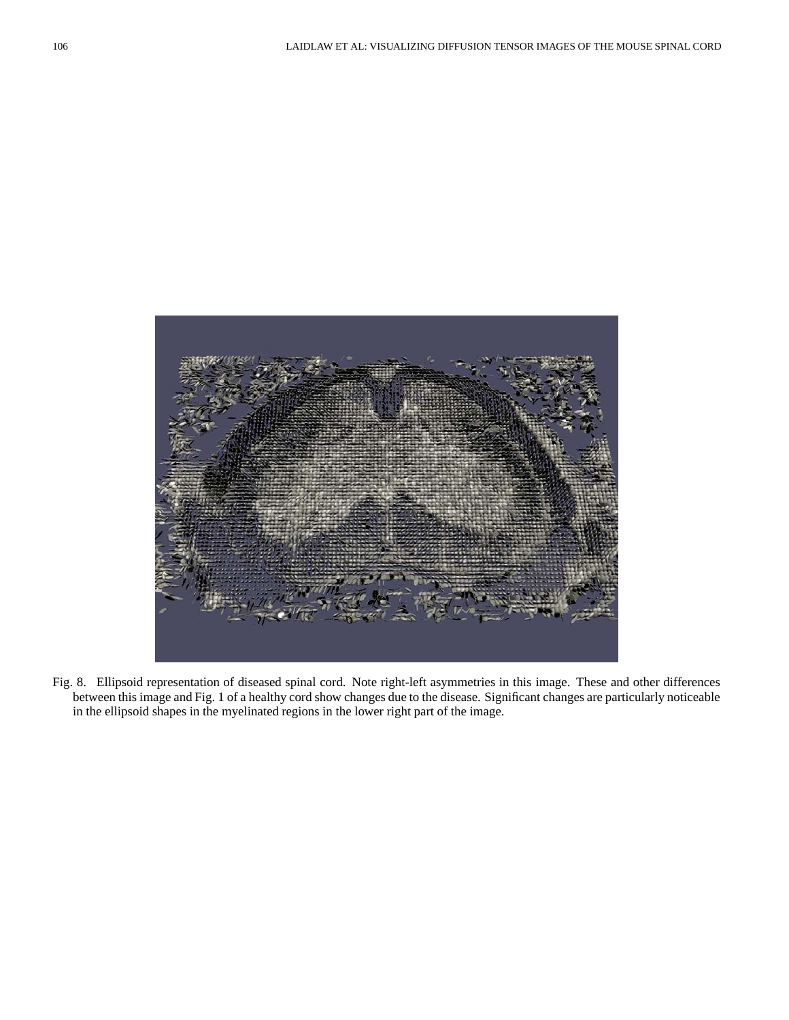

Fig. 8. Ellipsoid representation of diseased spinal cord. Note right-left asymmetries in this image. These and other differences between this image and Fig. 1 of a healthy cord show changes due to the disease. Significant changes are particularly noticeable in the ellipsoid shapes in the myelinated regions in the lower right part of the image.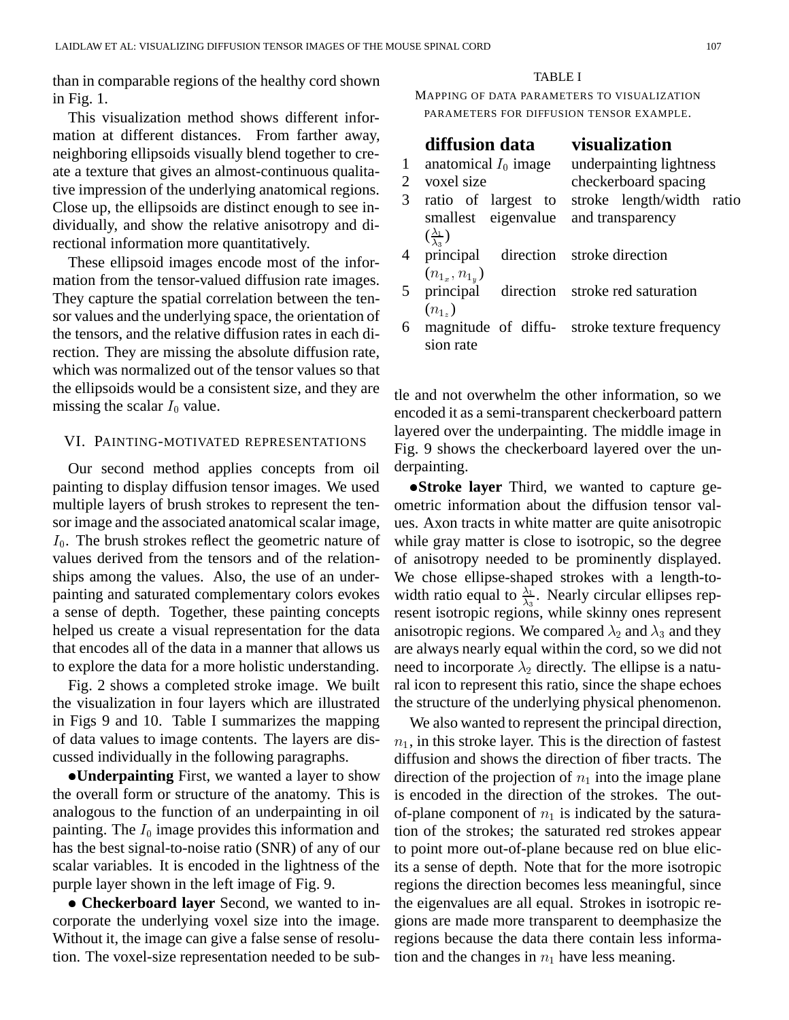than in comparable regions of the healthy cord shown in Fig. 1.

This visualization method shows different information at different distances. From farther away, neighboring ellipsoids visually blend together to create a texture that gives an almost-continuous qualitative impression of the underlying anatomical regions. Close up, the ellipsoids are distinct enough to see individually, and show the relative anisotropy and directional information more quantitatively.

These ellipsoid images encode most of the information from the tensor-valued diffusion rate images. They capture the spatial correlation between the tensor values and the underlying space, the orientation of the tensors, and the relative diffusion rates in each direction. They are missing the absolute diffusion rate, which was normalized out of the tensor values so that the ellipsoids would be a consistent size, and they are missing the scalar  $I_0$  value.

#### VI. PAINTING-MOTIVATED REPRESENTATIONS

Our second method applies concepts from oil painting to display diffusion tensor images. We used multiple layers of brush strokes to represent the tensor image and the associated anatomical scalar image,  $I_0$ . The brush strokes reflect the geometric nature of values derived from the tensors and of the relationships among the values. Also, the use of an underpainting and saturated complementary colors evokes a sense of depth. Together, these painting concepts helped us create a visual representation for the data that encodes all of the data in a manner that allows us to explore the data for a more holistic understanding.

Fig. 2 shows a completed stroke image. We built the visualization in four layers which are illustrated in Figs 9 and 10. Table I summarizes the mapping of data values to image contents. The layers are discussed individually in the following paragraphs.

**Underpainting** First, we wanted a layer to show the overall form or structure of the anatomy. This is analogous to the function of an underpainting in oil painting. The  $I_0$  image provides this information and has the best signal-to-noise ratio (SNR) of any of our scalar variables. It is encoded in the lightness of the purple layer shown in the left image of Fig. 9.

 **Checkerboard layer** Second, we wanted to incorporate the underlying voxel size into the image. Without it, the image can give a false sense of resolution. The voxel-size representation needed to be sub-

#### TABLE I

MAPPING OF DATA PARAMETERS TO VISUALIZATION PARAMETERS FOR DIFFUSION TENSOR EXAMPLE.

# **diffusion data visualization**

#### 1 anatomical  $I_0$  image underpainting lightness 2 voxel size checkerboard spacing 3 ratio of largest to smallest eigenvalue  $(\frac{\lambda_1}{\lambda_3})$  4 principal direction stroke length/width ratio and transparency  $(n_{1_x}, n_{1_y})$ stroke direction 5 principal direction  $(n_{1_z})$ stroke red saturation 6 magnitude of diffustroke texture frequency

sion rate

tle and not overwhelm the other information, so we encoded it as a semi-transparent checkerboard pattern layered over the underpainting. The middle image in Fig. 9 shows the checkerboard layered over the underpainting.

**Stroke layer** Third, we wanted to capture geometric information about the diffusion tensor values. Axon tracts in white matter are quite anisotropic while gray matter is close to isotropic, so the degree of anisotropy needed to be prominently displayed. We chose ellipse-shaped strokes with a length-towidth ratio equal to  $\frac{\lambda_1}{\lambda_3}$ . Nearly circular ellipses rep resent isotropic regions, while skinny ones represent anisotropic regions. We compared  $\lambda_2$  and  $\lambda_3$  and they are always nearly equal within the cord, so we did not need to incorporate  $\lambda_2$  directly. The ellipse is a natural icon to represent this ratio, since the shape echoes the structure of the underlying physical phenomenon.

We also wanted to represent the principal direction,  $n_1$ , in this stroke layer. This is the direction of fastest diffusion and shows the direction of fiber tracts. The direction of the projection of  $n_1$  into the image plane is encoded in the direction of the strokes. The outof-plane component of  $n_1$  is indicated by the saturation of the strokes; the saturated red strokes appear to point more out-of-plane because red on blue elicits a sense of depth. Note that for the more isotropic regions the direction becomes less meaningful, since the eigenvalues are all equal. Strokes in isotropic regions are made more transparent to deemphasize the regions because the data there contain less information and the changes in  $n_1$  have less meaning.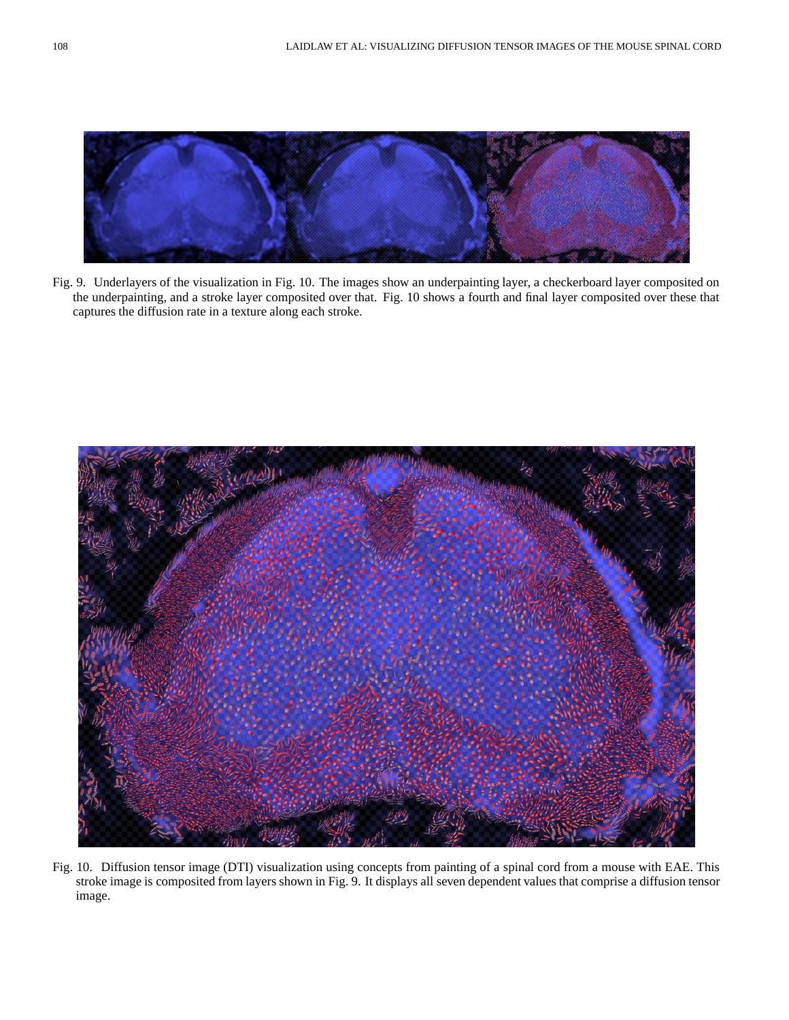

Fig. 9. Underlayers of the visualization in Fig. 10. The images show an underpainting layer, a checkerboard layer composited on the underpainting, and a stroke layer composited over that. Fig. 10 shows a fourth and final layer composited over these that captures the diffusion rate in a texture along each stroke.



Fig. 10. Diffusion tensor image (DTI) visualization using concepts from painting of a spinal cord from a mouse with EAE. This stroke image is composited from layers shown in Fig. 9. It displays all seven dependent values that comprise a diffusion tensor image.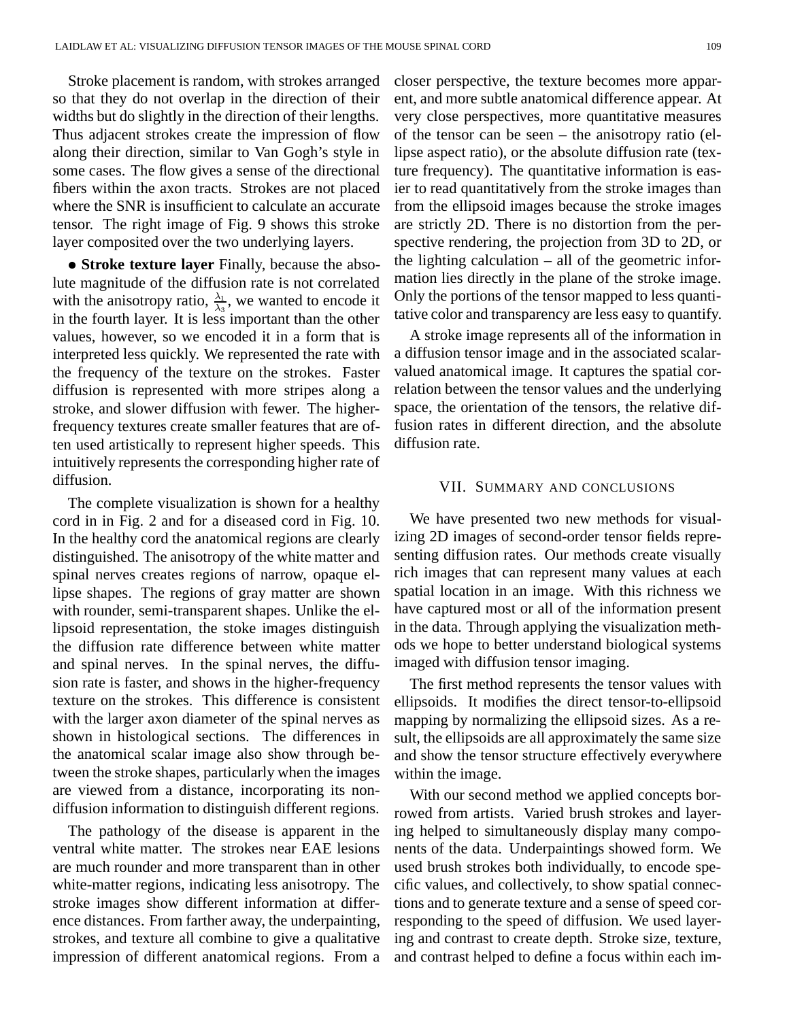Stroke placement is random, with strokes arranged so that they do not overlap in the direction of their widths but do slightly in the direction of their lengths. Thus adjacent strokes create the impression of flow along their direction, similar to Van Gogh's style in some cases. The flow gives a sense of the directional fibers within the axon tracts. Strokes are not placed where the SNR is insufficient to calculate an accurate tensor. The right image of Fig. 9 shows this stroke layer composited over the two underlying layers.

 **Stroke texture layer** Finally, because the absolute magnitude of the diffusion rate is not correlated with the anisotropy ratio,  $\frac{\lambda_1}{\lambda_3}$ , we wanted to encode it in the fourth layer. It is less important than the other values, however, so we encoded it in a form that is interpreted less quickly. We represented the rate with the frequency of the texture on the strokes. Faster diffusion is represented with more stripes along a stroke, and slower diffusion with fewer. The higherfrequency textures create smaller features that are often used artistically to represent higher speeds. This intuitively represents the corresponding higher rate of diffusion.

The complete visualization is shown for a healthy cord in in Fig. 2 and for a diseased cord in Fig. 10. In the healthy cord the anatomical regions are clearly distinguished. The anisotropy of the white matter and spinal nerves creates regions of narrow, opaque ellipse shapes. The regions of gray matter are shown with rounder, semi-transparent shapes. Unlike the ellipsoid representation, the stoke images distinguish the diffusion rate difference between white matter and spinal nerves. In the spinal nerves, the diffusion rate is faster, and shows in the higher-frequency texture on the strokes. This difference is consistent with the larger axon diameter of the spinal nerves as shown in histological sections. The differences in the anatomical scalar image also show through between the stroke shapes, particularly when the images are viewed from a distance, incorporating its nondiffusion information to distinguish different regions.

The pathology of the disease is apparent in the ventral white matter. The strokes near EAE lesions are much rounder and more transparent than in other white-matter regions, indicating less anisotropy. The stroke images show different information at difference distances. From farther away, the underpainting, strokes, and texture all combine to give a qualitative impression of different anatomical regions. From a closer perspective, the texture becomes more apparent, and more subtle anatomical difference appear. At very close perspectives, more quantitative measures of the tensor can be seen – the anisotropy ratio (ellipse aspect ratio), or the absolute diffusion rate (texture frequency). The quantitative information is easier to read quantitatively from the stroke images than from the ellipsoid images because the stroke images are strictly 2D. There is no distortion from the perspective rendering, the projection from 3D to 2D, or the lighting calculation – all of the geometric information lies directly in the plane of the stroke image. Only the portions of the tensor mapped to less quantitative color and transparency are less easy to quantify.

A stroke image represents all of the information in a diffusion tensor image and in the associated scalarvalued anatomical image. It captures the spatial correlation between the tensor values and the underlying space, the orientation of the tensors, the relative diffusion rates in different direction, and the absolute diffusion rate.

### VII. SUMMARY AND CONCLUSIONS

We have presented two new methods for visualizing 2D images of second-order tensor fields representing diffusion rates. Our methods create visually rich images that can represent many values at each spatial location in an image. With this richness we have captured most or all of the information present in the data. Through applying the visualization methods we hope to better understand biological systems imaged with diffusion tensor imaging.

The first method represents the tensor values with ellipsoids. It modifies the direct tensor-to-ellipsoid mapping by normalizing the ellipsoid sizes. As a result, the ellipsoids are all approximately the same size and show the tensor structure effectively everywhere within the image.

With our second method we applied concepts borrowed from artists. Varied brush strokes and layering helped to simultaneously display many components of the data. Underpaintings showed form. We used brush strokes both individually, to encode specific values, and collectively, to show spatial connections and to generate texture and a sense of speed corresponding to the speed of diffusion. We used layering and contrast to create depth. Stroke size, texture, and contrast helped to define a focus within each im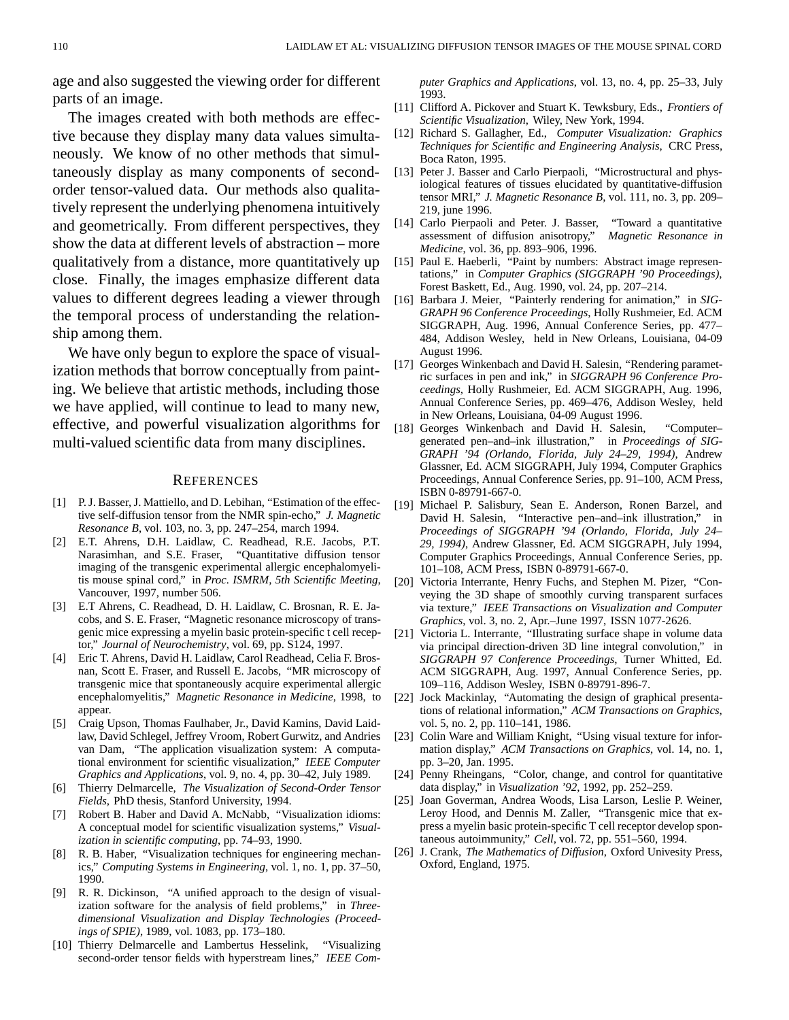age and also suggested the viewing order for different parts of an image.

The images created with both methods are effective because they display many data values simultaneously. We know of no other methods that simultaneously display as many components of secondorder tensor-valued data. Our methods also qualitatively represent the underlying phenomena intuitively and geometrically. From different perspectives, they show the data at different levels of abstraction – more qualitatively from a distance, more quantitatively up close. Finally, the images emphasize different data values to different degrees leading a viewer through the temporal process of understanding the relationship among them.

We have only begun to explore the space of visualization methods that borrow conceptually from painting. We believe that artistic methods, including those we have applied, will continue to lead to many new, effective, and powerful visualization algorithms for multi-valued scientific data from many disciplines.

#### **REFERENCES**

- [1] P. J. Basser, J. Mattiello, and D. Lebihan, "Estimation of the effective self-diffusion tensor from the NMR spin-echo," *J. Magnetic Resonance B*, vol. 103, no. 3, pp. 247–254, march 1994.
- [2] E.T. Ahrens, D.H. Laidlaw, C. Readhead, R.E. Jacobs, P.T. Narasimhan, and S.E. Fraser, "Quantitative diffusion tensor imaging of the transgenic experimental allergic encephalomyelitis mouse spinal cord," in *Proc. ISMRM, 5th Scientific Meeting*, Vancouver, 1997, number 506.
- [3] E.T Ahrens, C. Readhead, D. H. Laidlaw, C. Brosnan, R. E. Jacobs, and S. E. Fraser, "Magnetic resonance microscopy of transgenic mice expressing a myelin basic protein-specific t cell receptor," *Journal of Neurochemistry*, vol. 69, pp. S124, 1997.
- [4] Eric T. Ahrens, David H. Laidlaw, Carol Readhead, Celia F. Brosnan, Scott E. Fraser, and Russell E. Jacobs, "MR microscopy of transgenic mice that spontaneously acquire experimental allergic encephalomyelitis," *Magnetic Resonance in Medicine*, 1998, to appear.
- [5] Craig Upson, Thomas Faulhaber, Jr., David Kamins, David Laidlaw, David Schlegel, Jeffrey Vroom, Robert Gurwitz, and Andries van Dam, "The application visualization system: A computational environment for scientific visualization," *IEEE Computer Graphics and Applications*, vol. 9, no. 4, pp. 30–42, July 1989.
- [6] Thierry Delmarcelle, *The Visualization of Second-Order Tensor Fields*, PhD thesis, Stanford University, 1994.
- [7] Robert B. Haber and David A. McNabb, "Visualization idioms: A conceptual model for scientific visualization systems," *Visualization in scientific computing*, pp. 74–93, 1990.
- [8] R. B. Haber, "Visualization techniques for engineering mechanics," *Computing Systems in Engineering*, vol. 1, no. 1, pp. 37–50, 1990.
- [9] R. R. Dickinson, "A unified approach to the design of visualization software for the analysis of field problems," in *Threedimensional Visualization and Display Technologies (Proceedings of SPIE)*, 1989, vol. 1083, pp. 173–180.
- [10] Thierry Delmarcelle and Lambertus Hesselink, "Visualizing second-order tensor fields with hyperstream lines," *IEEE Com-*

*puter Graphics and Applications*, vol. 13, no. 4, pp. 25–33, July 1993.

- [11] Clifford A. Pickover and Stuart K. Tewksbury, Eds., *Frontiers of Scientific Visualization*, Wiley, New York, 1994.
- [12] Richard S. Gallagher, Ed., *Computer Visualization: Graphics Techniques for Scientific and Engineering Analysis*, CRC Press, Boca Raton, 1995.
- [13] Peter J. Basser and Carlo Pierpaoli, "Microstructural and physiological features of tissues elucidated by quantitative-diffusion tensor MRI," *J. Magnetic Resonance B*, vol. 111, no. 3, pp. 209– 219, june 1996.
- [14] Carlo Pierpaoli and Peter. J. Basser, "Toward a quantitative assessment of diffusion anisotropy," *Magnetic Resonance in Medicine*, vol. 36, pp. 893–906, 1996.
- [15] Paul E. Haeberli, "Paint by numbers: Abstract image representations," in *Computer Graphics (SIGGRAPH '90 Proceedings)*, Forest Baskett, Ed., Aug. 1990, vol. 24, pp. 207–214.
- [16] Barbara J. Meier, "Painterly rendering for animation," in *SIG-GRAPH 96 Conference Proceedings*, Holly Rushmeier, Ed. ACM SIGGRAPH, Aug. 1996, Annual Conference Series, pp. 477– 484, Addison Wesley, held in New Orleans, Louisiana, 04-09 August 1996.
- [17] Georges Winkenbach and David H. Salesin, "Rendering parametric surfaces in pen and ink," in *SIGGRAPH 96 Conference Proceedings*, Holly Rushmeier, Ed. ACM SIGGRAPH, Aug. 1996, Annual Conference Series, pp. 469–476, Addison Wesley, held in New Orleans, Louisiana, 04-09 August 1996.
- [18] Georges Winkenbach and David H. Salesin, "Computergenerated pen–and–ink illustration," in *Proceedings of SIG-GRAPH '94 (Orlando, Florida, July 24–29, 1994)*, Andrew Glassner, Ed. ACM SIGGRAPH, July 1994, Computer Graphics Proceedings, Annual Conference Series, pp. 91–100, ACM Press, ISBN 0-89791-667-0.
- [19] Michael P. Salisbury, Sean E. Anderson, Ronen Barzel, and David H. Salesin, "Interactive pen–and–ink illustration," in *Proceedings of SIGGRAPH '94 (Orlando, Florida, July 24– 29, 1994)*, Andrew Glassner, Ed. ACM SIGGRAPH, July 1994, Computer Graphics Proceedings, Annual Conference Series, pp. 101–108, ACM Press, ISBN 0-89791-667-0.
- [20] Victoria Interrante, Henry Fuchs, and Stephen M. Pizer, "Conveying the 3D shape of smoothly curving transparent surfaces via texture," *IEEE Transactions on Visualization and Computer Graphics*, vol. 3, no. 2, Apr.–June 1997, ISSN 1077-2626.
- [21] Victoria L. Interrante, "Illustrating surface shape in volume data via principal direction-driven 3D line integral convolution," in *SIGGRAPH 97 Conference Proceedings*, Turner Whitted, Ed. ACM SIGGRAPH, Aug. 1997, Annual Conference Series, pp. 109–116, Addison Wesley, ISBN 0-89791-896-7.
- [22] Jock Mackinlay, "Automating the design of graphical presentations of relational information," *ACM Transactions on Graphics*, vol. 5, no. 2, pp. 110–141, 1986.
- [23] Colin Ware and William Knight, "Using visual texture for information display," *ACM Transactions on Graphics*, vol. 14, no. 1, pp. 3–20, Jan. 1995.
- [24] Penny Rheingans, "Color, change, and control for quantitative data display," in *Visualization '92*, 1992, pp. 252–259.
- [25] Joan Goverman, Andrea Woods, Lisa Larson, Leslie P. Weiner, Leroy Hood, and Dennis M. Zaller, "Transgenic mice that express a myelin basic protein-specific T cell receptor develop spontaneous autoimmunity," *Cell*, vol. 72, pp. 551–560, 1994.
- [26] J. Crank, *The Mathematics of Diffusion*, Oxford Univesity Press, Oxford, England, 1975.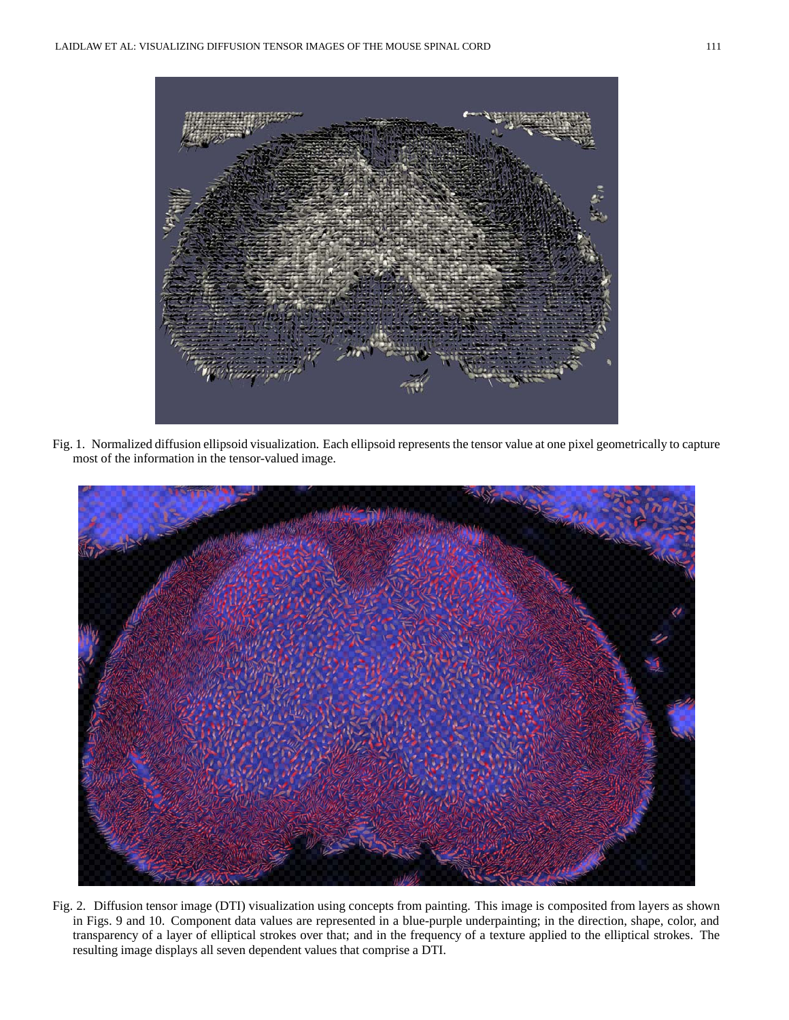

Fig. 1. Normalized diffusion ellipsoid visualization. Each ellipsoid represents the tensor value at one pixel geometrically to capture most of the information in the tensor-valued image.



Fig. 2. Diffusion tensor image (DTI) visualization using concepts from painting. This image is composited from layers as shown in Figs. 9 and 10. Component data values are represented in a blue-purple underpainting; in the direction, shape, color, and transparency of a layer of elliptical strokes over that; and in the frequency of a texture applied to the elliptical strokes. The resulting image displays all seven dependent values that comprise a DTI.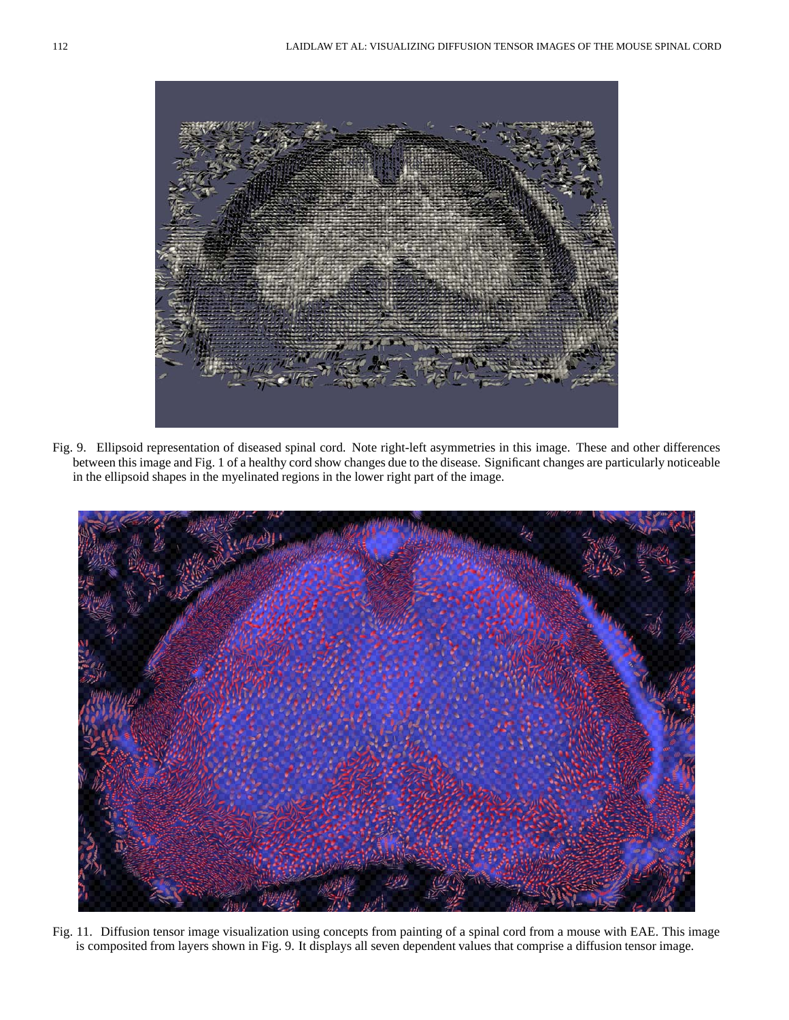

Fig. 9. Ellipsoid representation of diseased spinal cord. Note right-left asymmetries in this image. These and other differences between this image and Fig. 1 of a healthy cord show changes due to the disease. Significant changes are particularly noticeable in the ellipsoid shapes in the myelinated regions in the lower right part of the image.



Fig. 11. Diffusion tensor image visualization using concepts from painting of a spinal cord from a mouse with EAE. This image is composited from layers shown in Fig. 9. It displays all seven dependent values that comprise a diffusion tensor image.